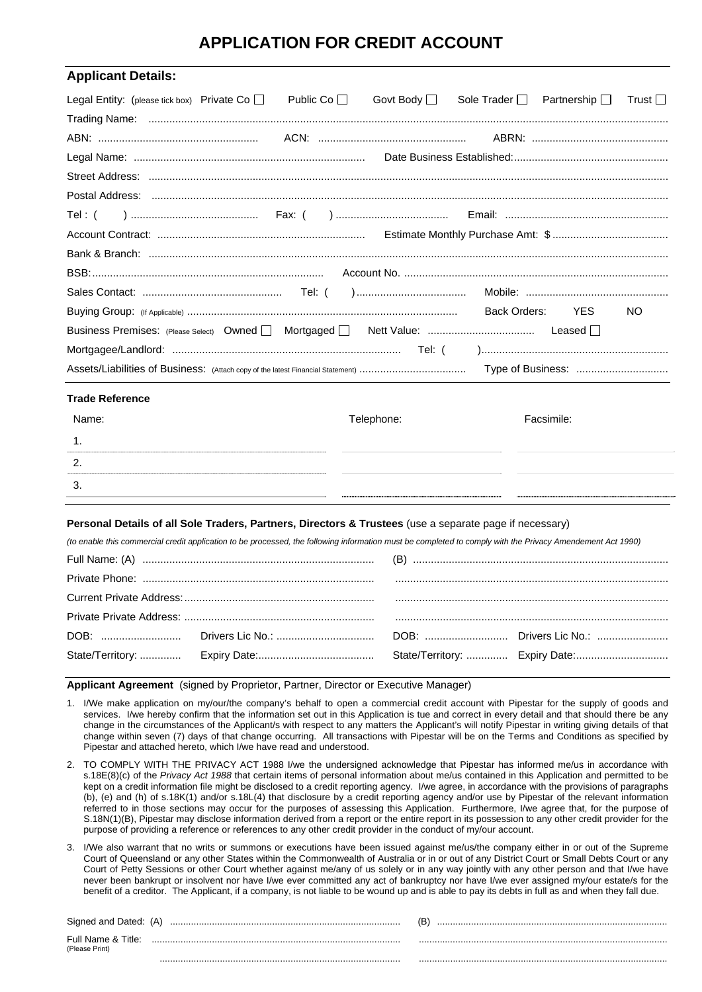# **APPLICATION FOR CREDIT ACCOUNT**

| <b>Applicant Details:</b>                                                                                                                                  |  |  |            |                                                 |            |           |  |
|------------------------------------------------------------------------------------------------------------------------------------------------------------|--|--|------------|-------------------------------------------------|------------|-----------|--|
| Legal Entity: (please tick box) Private Co   Public Co                                                                                                     |  |  |            | Govt Body □ Sole Trader □ Partnership □ Trust □ |            |           |  |
|                                                                                                                                                            |  |  |            |                                                 |            |           |  |
|                                                                                                                                                            |  |  |            |                                                 |            |           |  |
|                                                                                                                                                            |  |  |            |                                                 |            |           |  |
|                                                                                                                                                            |  |  |            |                                                 |            |           |  |
|                                                                                                                                                            |  |  |            |                                                 |            |           |  |
| Tel : (                                                                                                                                                    |  |  |            |                                                 |            |           |  |
|                                                                                                                                                            |  |  |            |                                                 |            |           |  |
|                                                                                                                                                            |  |  |            |                                                 |            |           |  |
|                                                                                                                                                            |  |  |            |                                                 |            |           |  |
|                                                                                                                                                            |  |  |            |                                                 |            |           |  |
|                                                                                                                                                            |  |  |            |                                                 | <b>YES</b> | <b>NO</b> |  |
|                                                                                                                                                            |  |  |            |                                                 |            |           |  |
|                                                                                                                                                            |  |  |            |                                                 |            |           |  |
|                                                                                                                                                            |  |  |            |                                                 |            |           |  |
| <b>Trade Reference</b>                                                                                                                                     |  |  |            |                                                 |            |           |  |
| Name:                                                                                                                                                      |  |  | Telephone: |                                                 | Facsimile: |           |  |
| 1.                                                                                                                                                         |  |  |            |                                                 |            |           |  |
| 2.                                                                                                                                                         |  |  |            |                                                 |            |           |  |
| 3.                                                                                                                                                         |  |  |            |                                                 |            |           |  |
|                                                                                                                                                            |  |  |            |                                                 |            |           |  |
| Personal Details of all Sole Traders, Partners, Directors & Trustees (use a separate page if necessary)                                                    |  |  |            |                                                 |            |           |  |
| (to enable this commercial credit application to be processed, the following information must be completed to comply with the Privacy Amendement Act 1990) |  |  |            |                                                 |            |           |  |
|                                                                                                                                                            |  |  |            |                                                 |            |           |  |
|                                                                                                                                                            |  |  |            |                                                 |            |           |  |
|                                                                                                                                                            |  |  |            |                                                 |            |           |  |
|                                                                                                                                                            |  |  |            |                                                 |            |           |  |
|                                                                                                                                                            |  |  |            |                                                 |            |           |  |
| State/Territory:                                                                                                                                           |  |  |            |                                                 |            |           |  |

**Applicant Agreement** (signed by Proprietor, Partner, Director or Executive Manager)

- 1. I/We make application on my/our/the company's behalf to open a commercial credit account with Pipestar for the supply of goods and services. I/we hereby confirm that the information set out in this Application is tue and correct in every detail and that should there be any change in the circumstances of the Applicant/s with respect to any matters the Applicant's will notify Pipestar in writing giving details of that change within seven (7) days of that change occurring. All transactions with Pipestar will be on the Terms and Conditions as specified by Pipestar and attached hereto, which I/we have read and understood.
- 2. TO COMPLY WITH THE PRIVACY ACT 1988 I/we the undersigned acknowledge that Pipestar has informed me/us in accordance with s.18E(8)(c) of the *Privacy Act 1988* that certain items of personal information about me/us contained in this Application and permitted to be kept on a credit information file might be disclosed to a credit reporting agency. I/we agree, in accordance with the provisions of paragraphs (b), (e) and (h) of s.18K(1) and/or s.18L(4) that disclosure by a credit reporting agency and/or use by Pipestar of the relevant information referred to in those sections may occur for the purposes of assessing this Application. Furthermore, I/we agree that, for the purpose of S.18N(1)(B), Pipestar may disclose information derived from a report or the entire report in its possession to any other credit provider for the purpose of providing a reference or references to any other credit provider in the conduct of my/our account.
- 3. I/We also warrant that no writs or summons or executions have been issued against me/us/the company either in or out of the Supreme Court of Queensland or any other States within the Commonwealth of Australia or in or out of any District Court or Small Debts Court or any Court of Petty Sessions or other Court whether against me/any of us solely or in any way jointly with any other person and that I/we have never been bankrupt or insolvent nor have I/we ever committed any act of bankruptcy nor have I/we ever assigned my/our estate/s for the benefit of a creditor. The Applicant, if a company, is not liable to be wound up and is able to pay its debts in full as and when they fall due.

| Signed and Dated: (A)                | ſΒ<br> |
|--------------------------------------|--------|
| Full Name & Title:<br>(Please Print) |        |
|                                      |        |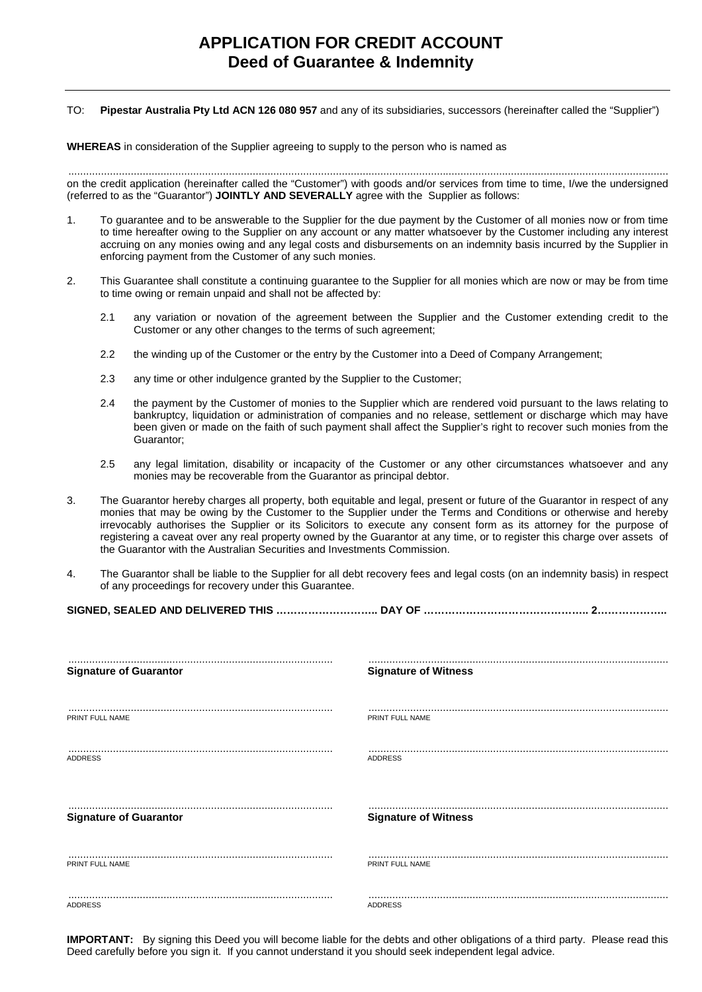### TO: **Pipestar Australia Pty Ltd ACN 126 080 957** and any of its subsidiaries, successors (hereinafter called the "Supplier")

**WHEREAS** in consideration of the Supplier agreeing to supply to the person who is named as

.......................................................................................................................................................................................................... on the credit application (hereinafter called the "Customer") with goods and/or services from time to time, I/we the undersigned (referred to as the "Guarantor") **JOINTLY AND SEVERALLY** agree with the Supplier as follows:

- 1. To guarantee and to be answerable to the Supplier for the due payment by the Customer of all monies now or from time to time hereafter owing to the Supplier on any account or any matter whatsoever by the Customer including any interest accruing on any monies owing and any legal costs and disbursements on an indemnity basis incurred by the Supplier in enforcing payment from the Customer of any such monies.
- 2. This Guarantee shall constitute a continuing guarantee to the Supplier for all monies which are now or may be from time to time owing or remain unpaid and shall not be affected by:
	- 2.1 any variation or novation of the agreement between the Supplier and the Customer extending credit to the Customer or any other changes to the terms of such agreement;
	- 2.2 the winding up of the Customer or the entry by the Customer into a Deed of Company Arrangement;
	- 2.3 any time or other indulgence granted by the Supplier to the Customer;
	- 2.4 the payment by the Customer of monies to the Supplier which are rendered void pursuant to the laws relating to bankruptcy, liquidation or administration of companies and no release, settlement or discharge which may have been given or made on the faith of such payment shall affect the Supplier's right to recover such monies from the Guarantor;
	- 2.5 any legal limitation, disability or incapacity of the Customer or any other circumstances whatsoever and any monies may be recoverable from the Guarantor as principal debtor.
- 3. The Guarantor hereby charges all property, both equitable and legal, present or future of the Guarantor in respect of any monies that may be owing by the Customer to the Supplier under the Terms and Conditions or otherwise and hereby irrevocably authorises the Supplier or its Solicitors to execute any consent form as its attorney for the purpose of registering a caveat over any real property owned by the Guarantor at any time, or to register this charge over assets of the Guarantor with the Australian Securities and Investments Commission.
- 4. The Guarantor shall be liable to the Supplier for all debt recovery fees and legal costs (on an indemnity basis) in respect of any proceedings for recovery under this Guarantee.

**SIGNED, SEALED AND DELIVERED THIS ……………………….. DAY OF ……………………………………….. 2………………..**

| <b>Signature of Guarantor</b> | <b>Signature of Witness</b> |
|-------------------------------|-----------------------------|
|                               |                             |
| PRINT FULL NAME               | PRINT FULL NAME             |
|                               |                             |
| <b>ADDRESS</b>                | <b>ADDRESS</b>              |
|                               |                             |
| <b>Signature of Guarantor</b> | <b>Signature of Witness</b> |
|                               |                             |
|                               |                             |
| PRINT FULL NAME               | PRINT FULL NAME             |
|                               |                             |
| <b>ADDRESS</b>                | ADDRESS                     |

**IMPORTANT:** By signing this Deed you will become liable for the debts and other obligations of a third party. Please read this Deed carefully before you sign it. If you cannot understand it you should seek independent legal advice.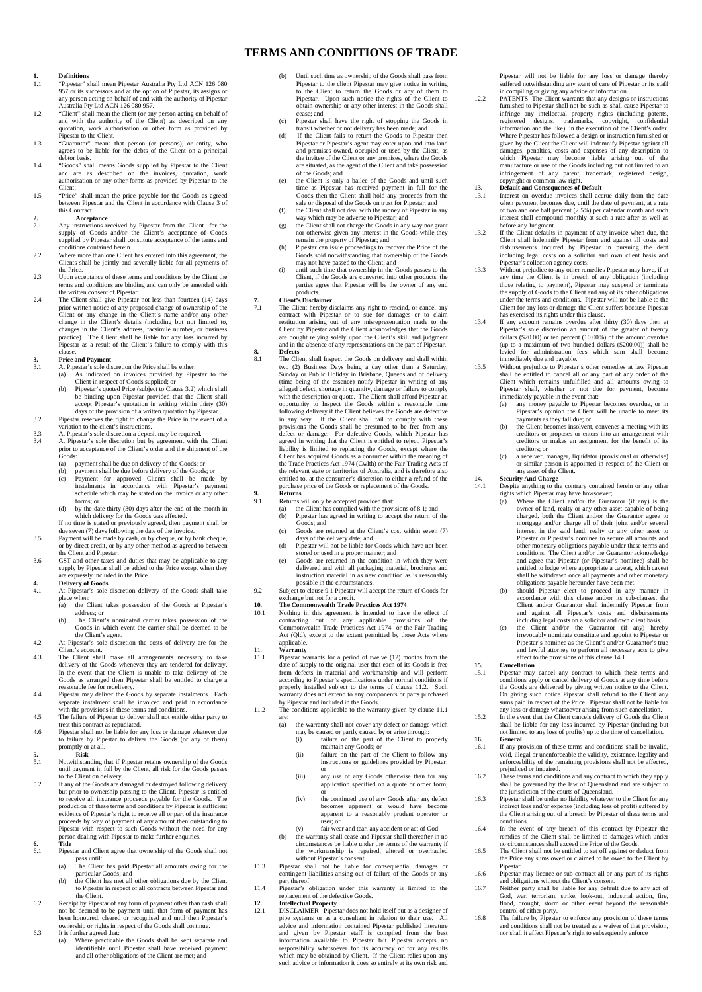### **TERMS AND CONDITIONS OF TRADE**

## **1. Definitions**<br>1.1 **Pipestar**" **s**

- 1.1 "Pipestar" shall mean Pipestar Australia Pty Ltd ACN 126 080 957 or its successors and at the option of Pipestar, its assigns or any person acting on behalf of and with the authority of Pipestar Australia Pty Ltd ACN 126 080 957.
- 1.2 "Client" shall mean the client (or any person acting on behalf of and with the authority of the Client) as described on any quotation, work authorisation or other form as provided by Pipestar to the Client.
- 1.3 "Guarantor" means that person (or persons), or entity, who agrees to be liable for the debts of the Client on a principal debtor basis. 1.4 "Goods" shall means Goods supplied by Pipestar to the Client
- and are as described on the invoices, quotation, work authorisation or any other forms as provided by Pipestar to the Client.
- 1.5 "Price" shall mean the price payable for the Goods as agreed between Pipestar and the Client in accordance with Clause 3 of this Contract.

- 2. **Acceptance**<br>2.1 Any instructions re 2.1 Any instructions received by Pipestar from the Client for the supply of Goods and/or the Client's acceptance of Goods and/or the unit of the terms and
- conditions contained herein. 2.2 Where more than one Client has entered into this agreement, the Clients shall be jointly and severally liable for all payments of the Price.
- 2.3 Upon acceptance of these terms and conditions by the Client the terms and conditions are binding and can only be amended with
- the written consent of Pipestar.<br>The Client shall give Pipestar not less than fourteen (14) days<br>prior written notice of any proposed change of ownership of the<br>Client or any change in the Client's name and/or any other<br>ch changes in the Client's address, facsimile number, or business practice). The Client shall be liable for any loss incurred by Pipestar as a result of the Client's failure to comply with this clause.

- **3. Price and Payment**<br> **3.1** At Pipestar's sole discretion the Price shall be either:<br>
(a) As indicated on invoices provided by Pipestar to the
	- Client in respect of Goods supplied; or<br>
	(b) Pipestar's quoted Price (subject to Clause 3.2) which shall<br>
	be binding upon Pipestar provided that the Client shall<br>
	accept Pipestar's quotation in writing within thirty (30)
- days of the provision of a written quotation by Pipestar.<br>
3.2 Pipestar reserves the right to change the Price in the event of a<br>
variation to the client's instructions.

- 3.3 At Pipestar's sole discretion a deposit may be required.<br>3.4 At Pipestar's sole discretion and by agreement with 3.4 At Pipestar's sole discretion but by agreement with the Client prior to acceptance of the Client's order and the shipment of the Goods:
	- (a) payment shall be due on delivery of the Goods; or<br>(b) payment shall be due before delivery of the Good
	-
- (b) payment shall be due before delivery of the Goods; or (c) Payment for approved Clients shall be made by instalments in accordance with Pipestar's payment schedule which may be stated on the invoice or any other forms; or
	- (d) by the date thirty (30) days after the end of the month in which delivery for the Goods was effected.
- If no time is stated or previously agreed, then payment shall be due seven (7) days following the date of the invoice.
- 3.5 Payment will be made by cash, or by cheque, or by bank cheque, or by direct credit, or by any other method as agreed to between
- the Client and Pipestar. 3.6 GST and other taxes and duties that may be applicable to any supply by Pipestar shall be added to the Price except when they are expressly included in the Price.
- **4. Delivery of Goods**  4.1 At Pipestar's sole discretion delivery of the Goods shall take place when:
	- (a) the Client takes possession of the Goods at Pipestar's address; or
- (b) The Client's nominated carrier takes possession of the Goods in which event the carrier shall be deemed to be the Client's agent.<br>
4.2 At Pipestar's sole discretion the costs of delivery are for the
- 
- Client's account. 4.3 The Client shall make all arrangements necessary to take delivery of the Goods whenever they are tendered for delivery. In the event that the Client is unable to take delivery of the Goods as arranged then Pipestar shall be entitled to charge a
- reasonable fee for redelivery. 4.4 Pipestar may deliver the Goods by separate instalments. Each separate instalment shall be invoiced and paid in accordance<br>with the provisions in these terms and conditions.<br>4.5 The failure of Pipestar to deliver shall not entitle either party to
- 
- treat this contract as repudiated. 4.6 Pipestar shall not be liable for any loss or damage whatever due to failure by Pipestar to deliver the Goods (or any of them) promptly or at all.
- 
- **5. Risk**  5.1 Notwithstanding that if Pipestar retains ownership of the Goods until payment in full by the Client, all risk for the Goods passes to the Client on delivery. 5.2 If any of the Goods are damaged or destroyed following delivery
- but prior to ownership passing to the Client, Pipestar is entitled<br>to receive all insurance proceeds payable for the Goods. The<br>production of these terms and conditions by Pipestar is sufficient<br>evidence of Pipestar's righ Pipestar with respect to such Goods without the need for any person dealing with Pipestar to make further enquiries.
- **6. Title**  Pipestar and Client agree that ownership of the Goods shall not pass until: (a) The Client has paid Pipestar all amounts owing for the
	- particular Goods; and<br>
	(b) the Client has met all other obligations due by the Client
- to Pipestar in respect of all contracts between Pipestar and the Client.<br>
6.2. Receipt by Pipestar of any form of payment other than cash shall
- not be deemed to be payment until that form of payment has been honoured, cleared or recognised and until then Pipestar's ownership or rights in respect of the Goods shall continue.
- 6.3 It is further agreed that: (a) Where practicable the Goods shall be kept separate and identifiable until Pipestar shall have received payment and all other obligations of the Client are met; and
- (b) Until such time as ownership of the Goods shall pass from Pipestar to the client Pipestar may give notice in writing to the Client to return the Goods or any of them to Pipestar. Upon such notice the rights of the Client to obtain ownership or any other interest in the Goods shall cease; and
- (c) Pipestar shall have the right of stopping the Goods in transit whether or not delivery has been made; and (d) If the Client fails to return the Goods to Pipestar then
- Pipestar or Pipestar's agent may enter upon and into land and premises owned, occupied or used by the Client, as the invitee of the Client or any premises, where the Goods are situated, as the agent of the Client and take possession of the Goods; and
- (e) the Client is only a bailee of the Goods and until such time as Pipestar has received payment in full for the Goods then the Client shall hold any proceeds from the sale or disposal of the Goods on trust for Pipestar;
- (f) the Client shall not deal with the money of Pipestar in any way which may be adverse to Pipestar; and (g) the Client shall not charge the Goods in any way nor grant
- nor otherwise given any interest in the Goods while they remain the property of Pipestar; and (h) Pipestar can issue proceedings to recover the Price of the Goods sold notwithstanding that ownership of the Goods
- 
- may not have passed to the Client; and<br>
(i) until such time that ownership in the Goods passes to the<br>
Client, if the Goods are converted into other products, the<br>
parties agree that Pipestar will be the owner of any end

### products. **7. Client's Disclaimer**

- 7. **Client's Disclaimer**<br>7.1 The Client hereby disclaims any right to rescind, or cancel any contract with Pipestar or to sue for damages or to claim restitution arising out of any misrepresentation made to the Client by Pipestar and the Client acknowledges that the Goods are bought relying solely upon the Client's skill and judgment and in the absence of any representations on the part of Pipestar. **8. Defects**
- **Detects**<br>The Client shall Inspect the Goods on delivery and shall within two (2) Business Days being a day other than a Saturday, Sunday or Public Holiday in Brisbane, Queensland of delivery (time being of the essence) notify Pipestar in writing of any<br>alleged defect, shortage in quantity, damage or failure to comply<br>with the description or quote. The Client shall afford Pipestar an<br>opportunity to Inspect the following delivery if the Client believes the Goods are defective<br>in any way. If the Client shall fail to comply with these<br>provisions the Goods shall be presumed to be free from any<br>defect or damage. For defective Goods, liability is limited to replacing the Goods, except where the Client has acquired Goods as a consumer within the meaning of the Trade Practices Act 1974 (Cwlth) or the Fair Trading Acts of the relevant state or territories of Australia, and is therefore also entitled to, at the consumer's discretion to either a refund of the purchase price of the Goods or replacement of the Goods.

### **9. Returns**

- 
- 9.1 Returns will only be accepted provided that:<br>
(a) the Client has complied with the provisions of 8.1; and<br>
(b) Pipestar has agreed in writing to accept the return of the
	- Goods; and
	- (c) Goods are returned at the Client's cost within seven (7)
- days of the delivery date; and (d) Pipestar will not be liable for Goods which have not been stored or used in a proper manner; and (e) Goods are returned in the condition in which they were
	- delivered and with all packaging material, brochures and instruction material in as new condition as is reasonably possible in the circumstances.
- 9.2 Subject to clause 9.1 Pipestar will accept the return of Goods for exchange but not for a credit.

- **10.** The Commonwealth Trade Practices Act 1974<br>10.1 Nothing in this agreement is intended to have the effect of<br>contracting out of any applicable provisions of the<br>Commonwealth Trade Practices Act 1974 or the Fair Trading Act (Qld), except to the extent permitted by those Acts where applicable. 11. **Warranty**
- 
- 11.1 Pipestar warrants for a period of twelve (12) months from the date of supply to the original user that each of its Goods is free from defects in material and workmanship and will perform<br>according to Pipestar's specifications under normal conditions if<br>properly installed subject to the terms of clause 11.2. Such<br>warranty does not extend to any compo by Pipestar and included in the Goods.
- 11.2 The conditions applicable to the warranty given by clause 11.1 are:
	- (a) the warranty shall not cover any defect or damage which may be caused or partly caused by or arise through<br>(i) failure on the part of the Client to t
		- (i) failure on the part of the Client to properly maintain any Goods; or (ii) failure on the part of the Client to follow any instructions or guidelines provided by Pipestar:
		- or (iii) any use of any Goods otherwise than for any application specified on a quote or order form;
		- $\overline{O}$ (iv) the continued use of any Goods after any defect
		- becomes apparent or would have become apparent to a reasonably prudent operator or user; or
- (v) fair wear and tear, any accident or act of God. (b) the warranty shall cease and Pipestar shall thereafter in no circumstances be liable under the terms of the warranty if
	- the workmanship is repaired, altered or overhauled
- without Pipestar's consent.<br>
11.3 Pipestar shall not be liable for consequential damages or<br>
contingent liabilities arising out of failure of the Goods or any part thereof.
- 11.4 Pipestar's obligation under this warranty is limited to the replacement of the defective Goods. **12. Intellectual Property**

12.1 DISCLAIMER presstar does not hold itself out as a designer of pipe systems or as a consultant in relation to their use. All advice and information contained Pipestar published literature and given by Pipestar staff is responsibility whatsoever for its accuracy or for any results which may be obtained by Client. If the Client relies upon any such advice or information it does so entirely at its own risk and Pipestar will not be liable for any loss or damage thereby suffered notwithstanding any want of care of Pipestar or its staff

in compiling or giving any advice or information.<br>
PATENTS The Client warrants that any designs or instructions<br>
furnished to Pipestar shall not be such as shall cause Pipestar to<br>
infringe any intellectual property rights given by the Client the Client will indemnify Pipestar against all damages, penalties, costs and expenses of any description to which Pipestar may become liable arising out of the manufacture or use of the Goods including but not limited to an infringement of any patent, trademark, registered design, copyright or common law right. **13. Default and Consequences of Default** 

- 13.1 Interest on overdue invoices shall accrue daily from the date when payment becomes due, until the date of payment, at a rate of two and one half percent (2.5%) per calendar month and such interest shall compound monthly at such a rate after as well as before any Judgment.
- 13.2 If the Client defaults in payment of any invoice when due, the Client shall indemnify Pipestar from and against all costs and disbursements incurred by Pipestar in pursuing the debt including legal costs on a solicitor and own client basis and
- Pipestar's collection agency costs.<br>
13.3 Without prejudice to any other remedies Pipestar may have, if at<br>
any time the Client is in breach of any obligation (including<br>
those relating to payment), Pipestar may suspend or the supply of Goods to the Client and any of its other obligations under the terms and conditions. Pipestar will not be liable to the Client for any loss or damage the Client suffers because Pipestar has exercised its rights under this clause.
- 13.4 If any account remains overdue after thirty (30) days then at Pipestar's sole discretion an amount of the greater of twenty dollars (\$20.00) or ten percent (10.00%) of the amount overdue (up to a maximum of two hundred dollars (\$200.00)) shall be levied for administration fees which sum shall become immediately due and payable.
- 13.5 Without prejudice to Pipestar's other remedies at law Pipestar shall be entitled to cancel all or any part of any order of the Client which remains unfulfilled and all amounts owing to Pipestar shall, whether or not due for payment, become immediately payable in the event that: (a) any money payable to Pipestar becomes overdue, or in
	- Pipestar's opinion the Client will be unable to meet its payments as they fall due; or (b) the Client becomes insolvent, convenes a meeting with its
	- creditors or proposes or enters into an arrangement with creditors or makes an assignment for the benefit of its
	- creditors; or (c) a receiver, manager, liquidator (provisional or otherwise) or similar person is appointed in respect of the Client or any asset of the Client.

- **14. Security And Charge**<br> **14.1** Despite anything to the contrary contained herein or any other<br>
rights which Pipestar may have howsoever;
	- Where the Client and/or the Guarantor (if any) is the owner of land, realty or any other asset capable of being<br>charged, both the Client and/or the Guarantor agree to<br>mortgage and/or charge all of their joint and/or several<br>interest in the said land, realty or any other asset Pipestar or Pipestar's nominee to secure all amounts and other monetary obligations payable under these terms and conditions. The Client and/or the Guarantor acknowledge and agree that Pipestar (or Pipestar's nominee) shall be entitled to lodge where appropriate a caveat, which caveat shall be withdrawn once all payments and other monetary obligations payable hereunder have been met.
- (b) should Pipestar elect to proceed in any manner in accordance with this clause and/or its sub-clauses, the Client and/or Guarantor shall indemnify Pipestar from and against all Pipestar's costs and disbursements
- including legal costs on a solicitor and own client basis.<br>
(c) the Client and/or the Guarantor (if any) hereby<br>
irrevocably nominate constitute and appoint to Pipestar<br>
Pipestar's nominee as the Client's and/or Guarantor' and lawful attorney to perform all necessary acts to give effect to the provisions of this clause 14.1.

- 15. Cancellation<br>
216. Pipestar may cancel any contract to which these terms and<br>
21. Pipestar may cancel delivery of Goods at any time before<br>
the Goods are delivered by giving written notice to the Client.<br>
On giving suc
- sums paid in respect of the Price. Pipestar shall not be liable for<br>any loss or damage whatsoever arising from such cancellation.<br>I5.2 In the event that the Client cancels delivery of Goods the Client<br>shall be liable for a **16. General 16. If any pro**
- 16.1 If any provision of these terms and conditions shall be invalid, void, illegal or unenforceable the validity, existence, legality and enforceability of the remaining provisions shall not be affected,
- prejudiced or impaired.<br>
16.2 These terms and conditions and any contract to which they apply<br>
16.2 These terms and conditions and any of Queensland and are subject to
- the jurisdiction of the courts of Queensland.<br>
16.3 Pipestar shall be under no liability whatever to the Client for any<br>
indirect loss and/or expense (including loss of profit) suffered by<br>
the Client arising out of a brea conditions.
- 16.4 In the event of any breach of this contract by Pipestar the remdies of the Client shall be limited to damages which under no circumstances shall exceed the Price of the Goods.
- 16.5 The Client shall not be entitled to set off against or deduct from the Price any sums owed or claimed to be owed to the Client by Pipestar. 16.6 Pipestar may licence or sub-contract all or any part of its rights

control of either party. 16.8 The failure by Pipestar to enforce any provision of these terms and conditions shall not be treated as a waiver of that provision, nor shall it affect Pipestar's right to subsequently enforce

and obligations without the Client's consent. 16.7 Neither party shall be liable for any default due to any act of God, war, terrorism, strike, look-out, industrial action, fire, flood, drought, storm or other event beyond the reasonable